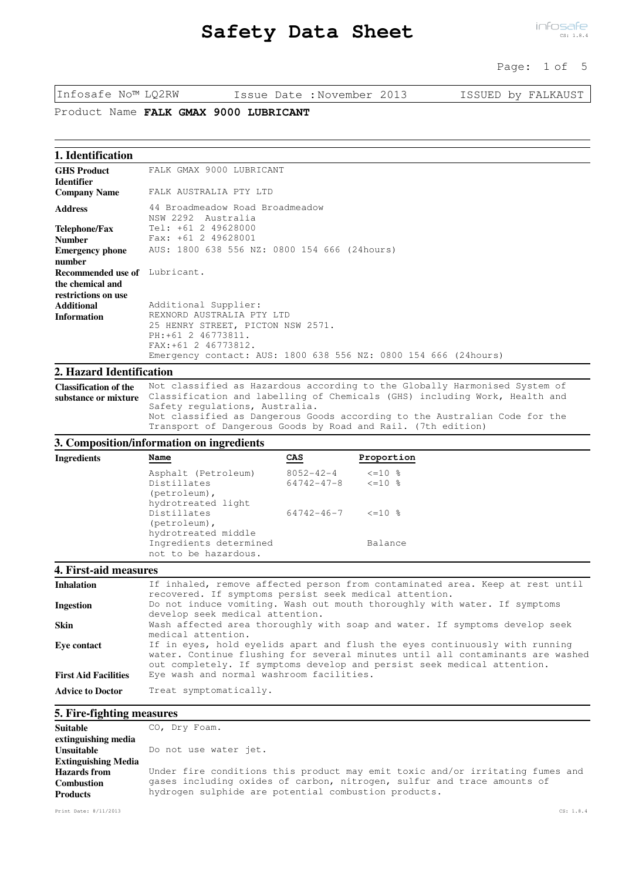# **Safety Data Sheet**

## Page: 1 of 5

Infosafe No™ LQ2RW Issue Date :November 2013 ISSUED by FALKAUST

Product Name FALK GMAX 9000 LUBRICANT

## **1. Identification**

| <b>GHS Product</b>            | FALK GMAX 9000 LUBRICANT                                        |
|-------------------------------|-----------------------------------------------------------------|
| Identifier                    |                                                                 |
| <b>Company Name</b>           | FALK AUSTRALIA PTY LTD                                          |
| <b>Address</b>                | 44 Broadmeadow Road Broadmeadow<br>NSW 2292 Australia           |
| Telephone/Fax                 | Tel: +61 2 49628000                                             |
| <b>Number</b>                 | Fax: +61 2 49628001                                             |
| <b>Emergency phone</b>        | AUS: 1800 638 556 NZ: 0800 154 666 (24hours)                    |
| number                        |                                                                 |
| Recommended use of Lubricant. |                                                                 |
| the chemical and              |                                                                 |
| restrictions on use           |                                                                 |
| <b>Additional</b>             | Additional Supplier:                                            |
| <b>Information</b>            | REXNORD AUSTRALIA PTY LTD                                       |
|                               | 25 HENRY STREET, PICTON NSW 2571.                               |
|                               | PH: +61 2 46773811.                                             |
|                               | FAX: +61 2 46773812.                                            |
|                               | Emergency contact: AUS: 1800 638 556 NZ: 0800 154 666 (24hours) |

#### **2. Hazard Identification**

Not classified as Hazardous according to the Globally Harmonised System of substance or mixture Classification and labelling of Chemicals (GHS) including Work, Health and Safety regulations, Australia. Not classified as Dangerous Goods according to the Australian Code for the Transport of Dangerous Goods by Road and Rail. (7th edition) **Classification of the** 

### **3. Composition/information on ingredients**

| Ingredients | Name                                                                     | CAS                                       | Proportion   |
|-------------|--------------------------------------------------------------------------|-------------------------------------------|--------------|
|             | Asphalt (Petroleum)<br>Distillates<br>(petroleum),<br>hydrotreated light | 8052-42-4<br>$64742 - 47 - 8$ $\leq 10$ % | $\leq$ =10 % |
|             | Distillates<br>$(petroleum)$ ,                                           | $64742 - 46 - 7$ $\leq 10\%$              |              |
|             | hydrotreated middle<br>Ingredients determined<br>not to be hazardous.    |                                           | Balance      |
|             |                                                                          |                                           |              |

## **4. First-aid measures**

| <b>Inhalation</b>           | If inhaled, remove affected person from contaminated area. Keep at rest until<br>recovered. If symptoms persist seek medical attention.                                                                                                  |
|-----------------------------|------------------------------------------------------------------------------------------------------------------------------------------------------------------------------------------------------------------------------------------|
| Ingestion                   | Do not induce vomiting. Wash out mouth thoroughly with water. If symptoms<br>develop seek medical attention.                                                                                                                             |
| <b>Skin</b>                 | Wash affected area thoroughly with soap and water. If symptoms develop seek<br>medical attention.                                                                                                                                        |
| Eve contact                 | If in eyes, hold eyelids apart and flush the eyes continuously with running<br>water. Continue flushing for several minutes until all contaminants are washed<br>out completely. If symptoms develop and persist seek medical attention. |
| <b>First Aid Facilities</b> | Eye wash and normal washroom facilities.                                                                                                                                                                                                 |
| <b>Advice to Doctor</b>     | Treat symptomatically.                                                                                                                                                                                                                   |

#### **5. Fire-fighting measures**

| <b>Suitable</b>            | CO, Dry Foam.                                                                 |
|----------------------------|-------------------------------------------------------------------------------|
| extinguishing media        |                                                                               |
| Unsuitable                 | Do not use water jet.                                                         |
| <b>Extinguishing Media</b> |                                                                               |
| <b>Hazards</b> from        | Under fire conditions this product may emit toxic and/or irritating fumes and |
| <b>Combustion</b>          | gases including oxides of carbon, nitrogen, sulfur and trace amounts of       |
| <b>Products</b>            | hydrogen sulphide are potential combustion products.                          |
|                            |                                                                               |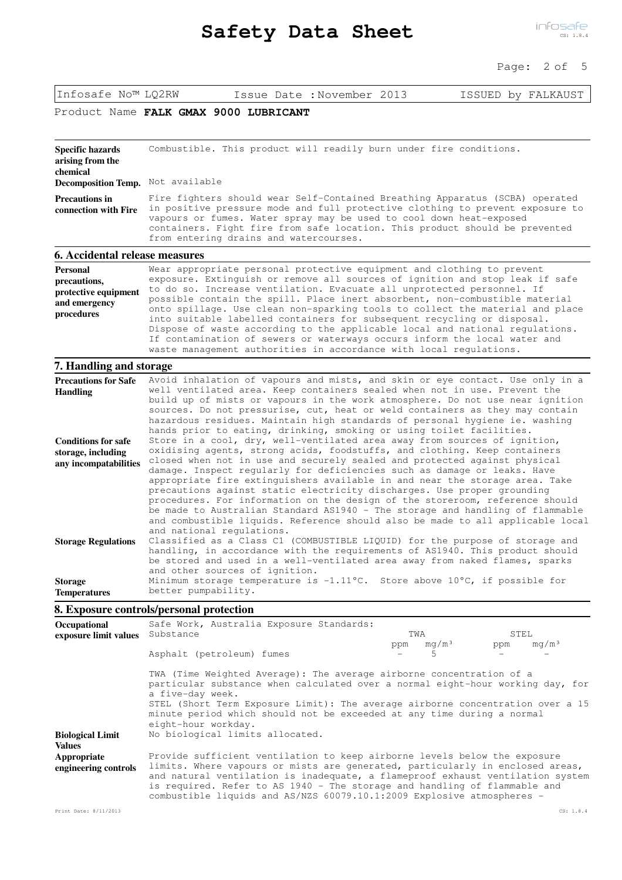## Page: 2 of 5

| Infosafe No™ LQ2RW |  |
|--------------------|--|
|--------------------|--|

Issue Date :November 2013 ISSUED by FALKAUST

## Product Name FALK GMAX 9000 LUBRICANT

| <b>Specific hazards</b><br>arising from the<br>chemical                                | Combustible. This product will readily burn under fire conditions.                                                                                                                                                                                                                                                                                                                                                                                                                                                                                                                                                                                                                                                                                        |
|----------------------------------------------------------------------------------------|-----------------------------------------------------------------------------------------------------------------------------------------------------------------------------------------------------------------------------------------------------------------------------------------------------------------------------------------------------------------------------------------------------------------------------------------------------------------------------------------------------------------------------------------------------------------------------------------------------------------------------------------------------------------------------------------------------------------------------------------------------------|
| Decomposition Temp. Not available                                                      |                                                                                                                                                                                                                                                                                                                                                                                                                                                                                                                                                                                                                                                                                                                                                           |
| <b>Precautions in</b><br>connection with Fire                                          | Fire fighters should wear Self-Contained Breathing Apparatus (SCBA) operated<br>in positive pressure mode and full protective clothing to prevent exposure to<br>vapours or fumes. Water spray may be used to cool down heat-exposed<br>containers. Fight fire from safe location. This product should be prevented<br>from entering drains and watercourses.                                                                                                                                                                                                                                                                                                                                                                                             |
| 6. Accidental release measures                                                         |                                                                                                                                                                                                                                                                                                                                                                                                                                                                                                                                                                                                                                                                                                                                                           |
| <b>Personal</b><br>precautions,<br>protective equipment<br>and emergency<br>procedures | Wear appropriate personal protective equipment and clothing to prevent<br>exposure. Extinguish or remove all sources of ignition and stop leak if safe<br>to do so. Increase ventilation. Evacuate all unprotected personnel. If<br>possible contain the spill. Place inert absorbent, non-combustible material<br>onto spillage. Use clean non-sparking tools to collect the material and place<br>into suitable labelled containers for subsequent recycling or disposal.<br>Dispose of waste according to the applicable local and national regulations.<br>If contamination of sewers or waterways occurs inform the local water and<br>waste management authorities in accordance with local regulations.                                            |
| 7. Handling and storage                                                                |                                                                                                                                                                                                                                                                                                                                                                                                                                                                                                                                                                                                                                                                                                                                                           |
| <b>Precautions for Safe</b><br><b>Handling</b>                                         | Avoid inhalation of vapours and mists, and skin or eye contact. Use only in a<br>well ventilated area. Keep containers sealed when not in use. Prevent the<br>build up of mists or vapours in the work atmosphere. Do not use near ignition<br>sources. Do not pressurise, cut, heat or weld containers as they may contain<br>hazardous residues. Maintain high standards of personal hygiene ie. washing<br>hands prior to eating, drinking, smoking or using toilet facilities.                                                                                                                                                                                                                                                                        |
| <b>Conditions for safe</b><br>storage, including<br>any incompatabilities              | Store in a cool, dry, well-ventilated area away from sources of ignition,<br>oxidising agents, strong acids, foodstuffs, and clothing. Keep containers<br>closed when not in use and securely sealed and protected against physical<br>damage. Inspect regularly for deficiencies such as damage or leaks. Have<br>appropriate fire extinguishers available in and near the storage area. Take<br>precautions against static electricity discharges. Use proper grounding<br>procedures. For information on the design of the storeroom, reference should<br>be made to Australian Standard AS1940 - The storage and handling of flammable<br>and combustible liquids. Reference should also be made to all applicable local<br>and national requlations. |
| <b>Storage Regulations</b>                                                             | Classified as a Class C1 (COMBUSTIBLE LIQUID) for the purpose of storage and<br>handling, in accordance with the requirements of AS1940. This product should<br>be stored and used in a well-ventilated area away from naked flames, sparks<br>and other sources of ignition.                                                                                                                                                                                                                                                                                                                                                                                                                                                                             |
| <b>Storage</b><br><b>Temperatures</b>                                                  | Minimum storage temperature is -1.11°C. Store above 10°C, if possible for<br>better pumpability.                                                                                                                                                                                                                                                                                                                                                                                                                                                                                                                                                                                                                                                          |
|                                                                                        | 8. Exposure controls/personal protection                                                                                                                                                                                                                                                                                                                                                                                                                                                                                                                                                                                                                                                                                                                  |
|                                                                                        |                                                                                                                                                                                                                                                                                                                                                                                                                                                                                                                                                                                                                                                                                                                                                           |

| Occupational                             | Safe Work, Australia Exposure Standards:                                                                                                                                                                                                                                                                                                                                                            |                               |                          |
|------------------------------------------|-----------------------------------------------------------------------------------------------------------------------------------------------------------------------------------------------------------------------------------------------------------------------------------------------------------------------------------------------------------------------------------------------------|-------------------------------|--------------------------|
| exposure limit values                    | Substance                                                                                                                                                                                                                                                                                                                                                                                           | TWA                           | STEL                     |
|                                          | Asphalt (petroleum) fumes                                                                                                                                                                                                                                                                                                                                                                           | mq/m <sup>3</sup><br>ppm<br>5 | mq/m <sup>3</sup><br>ppm |
|                                          | TWA (Time Weighted Average): The average airborne concentration of a<br>particular substance when calculated over a normal eight-hour working day, for<br>a five-day week.<br>STEL (Short Term Exposure Limit): The average airborne concentration over a 15<br>minute period which should not be exceeded at any time during a normal<br>eight-hour workday.                                       |                               |                          |
| <b>Biological Limit</b><br><b>Values</b> | No biological limits allocated.                                                                                                                                                                                                                                                                                                                                                                     |                               |                          |
| Appropriate<br>engineering controls      | Provide sufficient ventilation to keep airborne levels below the exposure<br>limits. Where vapours or mists are generated, particularly in enclosed areas,<br>and natural ventilation is inadequate, a flameproof exhaust ventilation system<br>is required. Refer to AS 1940 - The storage and handling of flammable and<br>combustible liquids and AS/NZS 60079.10.1:2009 Explosive atmospheres - |                               |                          |
| Print Date: 8/11/2013                    |                                                                                                                                                                                                                                                                                                                                                                                                     |                               | CS: 1.8.4                |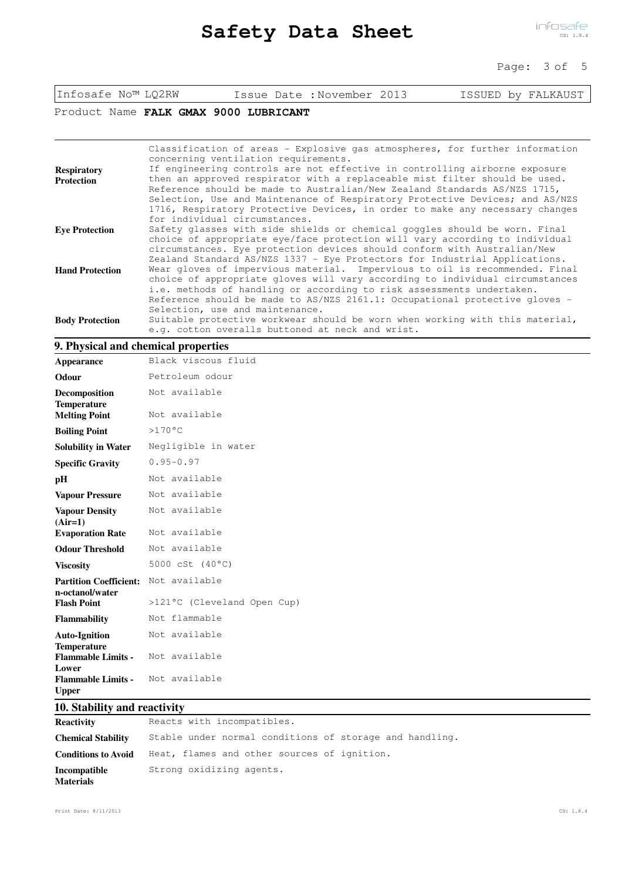## Page: 3 of 5

| Infosafe No™ LQ2RW |  |
|--------------------|--|
|--------------------|--|

Issue Date :November 2013 ISSUED by FALKAUST

Product Name FALK GMAX 9000 LUBRICANT

|                        | Classification of areas - Explosive gas atmospheres, for further information |
|------------------------|------------------------------------------------------------------------------|
|                        | concerning ventilation requirements.                                         |
| <b>Respiratory</b>     | If engineering controls are not effective in controlling airborne exposure   |
| <b>Protection</b>      | then an approved respirator with a replaceable mist filter should be used.   |
|                        | Reference should be made to Australian/New Zealand Standards AS/NZS 1715,    |
|                        | Selection, Use and Maintenance of Respiratory Protective Devices; and AS/NZS |
|                        | 1716, Respiratory Protective Devices, in order to make any necessary changes |
|                        | for individual circumstances.                                                |
| <b>Eve Protection</b>  | Safety glasses with side shields or chemical goggles should be worn. Final   |
|                        | choice of appropriate eye/face protection will vary according to individual  |
|                        | circumstances. Eye protection devices should conform with Australian/New     |
|                        | Zealand Standard AS/NZS 1337 - Eye Protectors for Industrial Applications.   |
| <b>Hand Protection</b> | Wear gloves of impervious material. Impervious to oil is recommended. Final  |
|                        | choice of appropriate gloves will vary according to individual circumstances |
|                        | i.e. methods of handling or according to risk assessments undertaken.        |
|                        | Reference should be made to AS/NZS 2161.1: Occupational protective gloves -  |
|                        | Selection, use and maintenance.                                              |
| <b>Body Protection</b> | Suitable protective workwear should be worn when working with this material, |
|                        | e.g. cotton overalls buttoned at neck and wrist.                             |
|                        |                                                                              |

### **9. Physical and chemical properties**

| Appearance                                       | Black viscous fluid         |
|--------------------------------------------------|-----------------------------|
| Odour                                            | Petroleum odour             |
| Decomposition<br><b>Temperature</b>              | Not available               |
| <b>Melting Point</b>                             | Not available               |
| <b>Boiling Point</b>                             | $>170^{\circ}$ C            |
| <b>Solubility in Water</b>                       | Negligible in water         |
| <b>Specific Gravity</b>                          | $0.95 - 0.97$               |
| pН                                               | Not available               |
| <b>Vapour Pressure</b>                           | Not available               |
| <b>Vapour Density</b><br>$(Air=1)$               | Not available               |
| <b>Evaporation Rate</b>                          | Not available               |
| <b>Odour Threshold</b>                           | Not available               |
| <b>Viscosity</b>                                 | 5000 cSt $(40^{\circ}C)$    |
| <b>Partition Coefficient:</b><br>n-octanol/water | Not available               |
| <b>Flash Point</b>                               | >121°C (Cleveland Open Cup) |
| <b>Flammability</b>                              | Not flammable               |
| <b>Auto-Ignition</b><br><b>Temperature</b>       | Not available               |
| <b>Flammable Limits -</b><br>Lower               | Not available               |
| <b>Flammable Limits -</b><br><b>Upper</b>        | Not available               |

# **10. Stability and reactivity**

| <b>Reactivity</b>                | Reacts with incompatibles.                              |
|----------------------------------|---------------------------------------------------------|
| <b>Chemical Stability</b>        | Stable under normal conditions of storage and handling. |
| <b>Conditions to Avoid</b>       | Heat, flames and other sources of ignition.             |
| Incompatible<br><b>Materials</b> | Strong oxidizing agents.                                |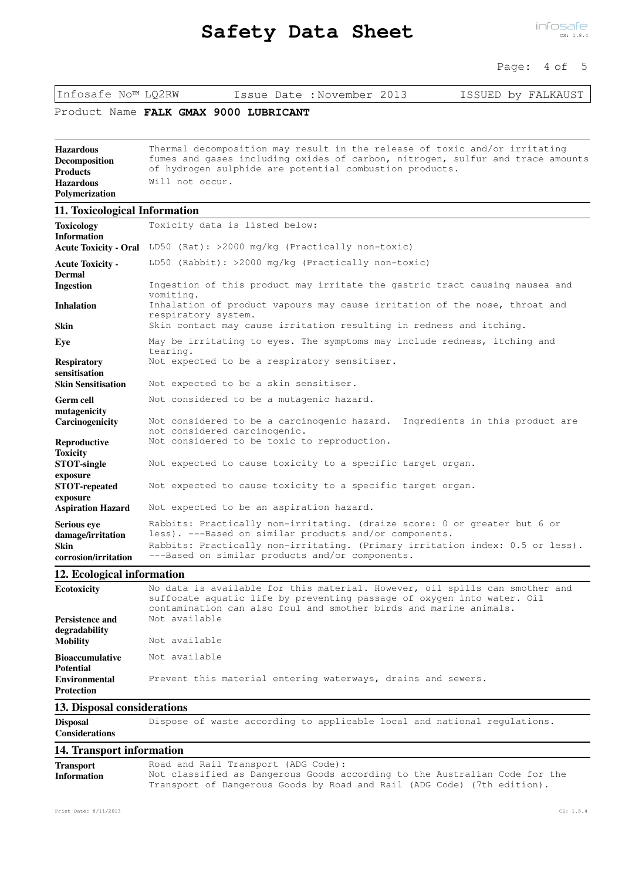# **Safety Data Sheet**

infosafe CS: 1.8.4

## Page: 4 of 5

Infosafe No™ LQ2RW Issue Date :November 2013 ISSUED by FALKAUST

Product Name FALK GMAX 9000 LUBRICANT

| Hazardous            | Thermal decomposition may result in the release of toxic and/or irritating     |
|----------------------|--------------------------------------------------------------------------------|
| <b>Decomposition</b> | fumes and gases including oxides of carbon, nitrogen, sulfur and trace amounts |
| <b>Products</b>      | of hydrogen sulphide are potential combustion products.                        |
| <b>Hazardous</b>     | Will not occur.                                                                |
| Polymerization       |                                                                                |

## **11. Toxicological Information**

| <b>Toxicology</b><br><b>Information</b>                                        | Toxicity data is listed below:                                                                                                                                                                                                                                          |  |  |  |  |  |  |
|--------------------------------------------------------------------------------|-------------------------------------------------------------------------------------------------------------------------------------------------------------------------------------------------------------------------------------------------------------------------|--|--|--|--|--|--|
| <b>Acute Toxicity - Oral</b>                                                   | LD50 (Rat): >2000 mg/kg (Practically non-toxic)                                                                                                                                                                                                                         |  |  |  |  |  |  |
| <b>Acute Toxicity -</b><br><b>Dermal</b>                                       | LD50 (Rabbit): $>2000$ mg/kg (Practically non-toxic)                                                                                                                                                                                                                    |  |  |  |  |  |  |
| <b>Ingestion</b>                                                               | Ingestion of this product may irritate the gastric tract causing nausea and<br>vomiting.                                                                                                                                                                                |  |  |  |  |  |  |
| <b>Inhalation</b>                                                              | Inhalation of product vapours may cause irritation of the nose, throat and<br>respiratory system.                                                                                                                                                                       |  |  |  |  |  |  |
| <b>Skin</b>                                                                    | Skin contact may cause irritation resulting in redness and itching.                                                                                                                                                                                                     |  |  |  |  |  |  |
| Eve                                                                            | May be irritating to eyes. The symptoms may include redness, itching and<br>tearing.                                                                                                                                                                                    |  |  |  |  |  |  |
| <b>Respiratory</b><br>sensitisation                                            | Not expected to be a respiratory sensitiser.                                                                                                                                                                                                                            |  |  |  |  |  |  |
| <b>Skin Sensitisation</b>                                                      | Not expected to be a skin sensitiser.                                                                                                                                                                                                                                   |  |  |  |  |  |  |
| <b>Germ cell</b><br>mutagenicity                                               | Not considered to be a mutagenic hazard.                                                                                                                                                                                                                                |  |  |  |  |  |  |
| Carcinogenicity                                                                | Not considered to be a carcinogenic hazard. Ingredients in this product are<br>not considered carcinogenic.                                                                                                                                                             |  |  |  |  |  |  |
| Reproductive<br><b>Toxicity</b>                                                | Not considered to be toxic to reproduction.                                                                                                                                                                                                                             |  |  |  |  |  |  |
| <b>STOT-single</b><br>exposure                                                 | Not expected to cause toxicity to a specific target organ.                                                                                                                                                                                                              |  |  |  |  |  |  |
| <b>STOT-repeated</b><br>exposure                                               | Not expected to cause toxicity to a specific target organ.                                                                                                                                                                                                              |  |  |  |  |  |  |
| <b>Aspiration Hazard</b>                                                       | Not expected to be an aspiration hazard.                                                                                                                                                                                                                                |  |  |  |  |  |  |
| <b>Serious eve</b><br>damage/irritation<br><b>Skin</b><br>corrosion/irritation | Rabbits: Practically non-irritating. (draize score: 0 or greater but 6 or<br>less). ---Based on similar products and/or components.<br>Rabbits: Practically non-irritating. (Primary irritation index: 0.5 or less).<br>---Based on similar products and/or components. |  |  |  |  |  |  |

## **12. Ecological information**

| <b>Ecotoxicity</b>     | No data is available for this material. However, oil spills can smother and<br>suffocate aquatic life by preventing passage of oxygen into water. Oil<br>contamination can also foul and smother birds and marine animals. |  |  |  |  |
|------------------------|----------------------------------------------------------------------------------------------------------------------------------------------------------------------------------------------------------------------------|--|--|--|--|
| Persistence and        | Not available                                                                                                                                                                                                              |  |  |  |  |
| degradability          |                                                                                                                                                                                                                            |  |  |  |  |
| <b>Mobility</b>        | Not available                                                                                                                                                                                                              |  |  |  |  |
| <b>Bioaccumulative</b> | Not available                                                                                                                                                                                                              |  |  |  |  |
| <b>Potential</b>       |                                                                                                                                                                                                                            |  |  |  |  |
| <b>Environmental</b>   | Prevent this material entering waterways, drains and sewers.                                                                                                                                                               |  |  |  |  |
| <b>Protection</b>      |                                                                                                                                                                                                                            |  |  |  |  |

## **13. Disposal considerations**

Disposal **Dispose of waste according to applicable local and national regulations. Considerations**

# **14. Transport information**

| <b>Transport</b>   | Road and Rail Transport (ADG Code):                                        |
|--------------------|----------------------------------------------------------------------------|
| <b>Information</b> | Not classified as Dangerous Goods according to the Australian Code for the |
|                    | Transport of Dangerous Goods by Road and Rail (ADG Code) (7th edition).    |